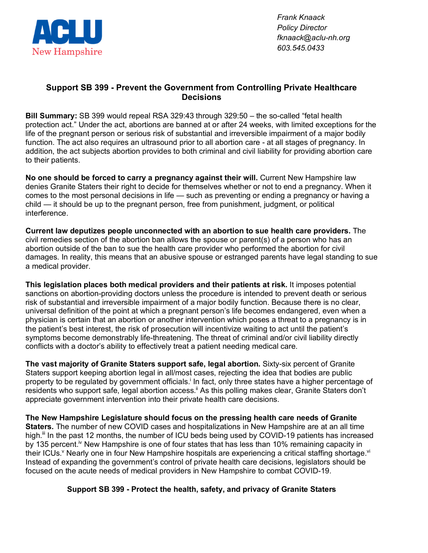

*Frank Knaack Policy Director fknaack@aclu-nh.org 603.545.0433*

## **Support SB 399 - Prevent the Government from Controlling Private Healthcare Decisions**

**Bill Summary:** SB 399 would repeal RSA 329:43 through 329:50 – the so-called "fetal health protection act." Under the act, abortions are banned at or after 24 weeks, with limited exceptions for the life of the pregnant person or serious risk of substantial and irreversible impairment of a major bodily function. The act also requires an ultrasound prior to all abortion care - at all stages of pregnancy. In addition, the act subjects abortion provides to both criminal and civil liability for providing abortion care to their patients.

**No one should be forced to carry a pregnancy against their will.** Current New Hampshire law denies Granite Staters their right to decide for themselves whether or not to end a pregnancy. When it comes to the most personal decisions in life — such as preventing or ending a pregnancy or having a child — it should be up to the pregnant person, free from punishment, judgment, or political interference.

**Current law deputizes people unconnected with an abortion to sue health care providers.** The civil remedies section of the abortion ban allows the spouse or parent(s) of a person who has an abortion outside of the ban to sue the health care provider who performed the abortion for civil damages. In reality, this means that an abusive spouse or estranged parents have legal standing to sue a medical provider.

**This legislation places both medical providers and their patients at risk.** It imposes potential sanctions on abortion-providing doctors unless the procedure is intended to prevent death or serious risk of substantial and irreversible impairment of a major bodily function. Because there is no clear, universal definition of the point at which a pregnant person's life becomes endangered, even when a physician is certain that an abortion or another intervention which poses a threat to a pregnancy is in the patient's best interest, the risk of prosecution will incentivize waiting to act until the patient's symptoms become demonstrably life-threatening. The threat of criminal and/or civil liability directly conflicts with a doctor's ability to effectively treat a patient needing medical care.

**The vast majority of Granite Staters support safe, legal abortion.** Sixty-six percent of Granite Staters support keeping abortion legal in all/most cases, rejecting the idea that bodies are public property to be regulated by government officials.<sup>i</sup> In fact, only three states have a higher percentage of residents who support safe, legal abortion access.<sup>ii</sup> As this polling makes clear, Granite Staters don't appreciate government intervention into their private health care decisions.

**The New Hampshire Legislature should focus on the pressing health care needs of Granite Staters.** The number of new COVID cases and hospitalizations in New Hampshire are at an all time high.<sup>ii</sup> In the past 12 months, the number of ICU beds being used by COVID-19 patients has increased by 135 percent.<sup>iv</sup> New Hampshire is one of four states that has less than 10% remaining capacity in their ICUs.<sup>v</sup> Nearly one in four New Hampshire hospitals are experiencing a critical staffing shortage.<sup>vi</sup> Instead of expanding the government's control of private health care decisions, legislators should be focused on the acute needs of medical providers in New Hampshire to combat COVID-19.

## **Support SB 399 - Protect the health, safety, and privacy of Granite Staters**